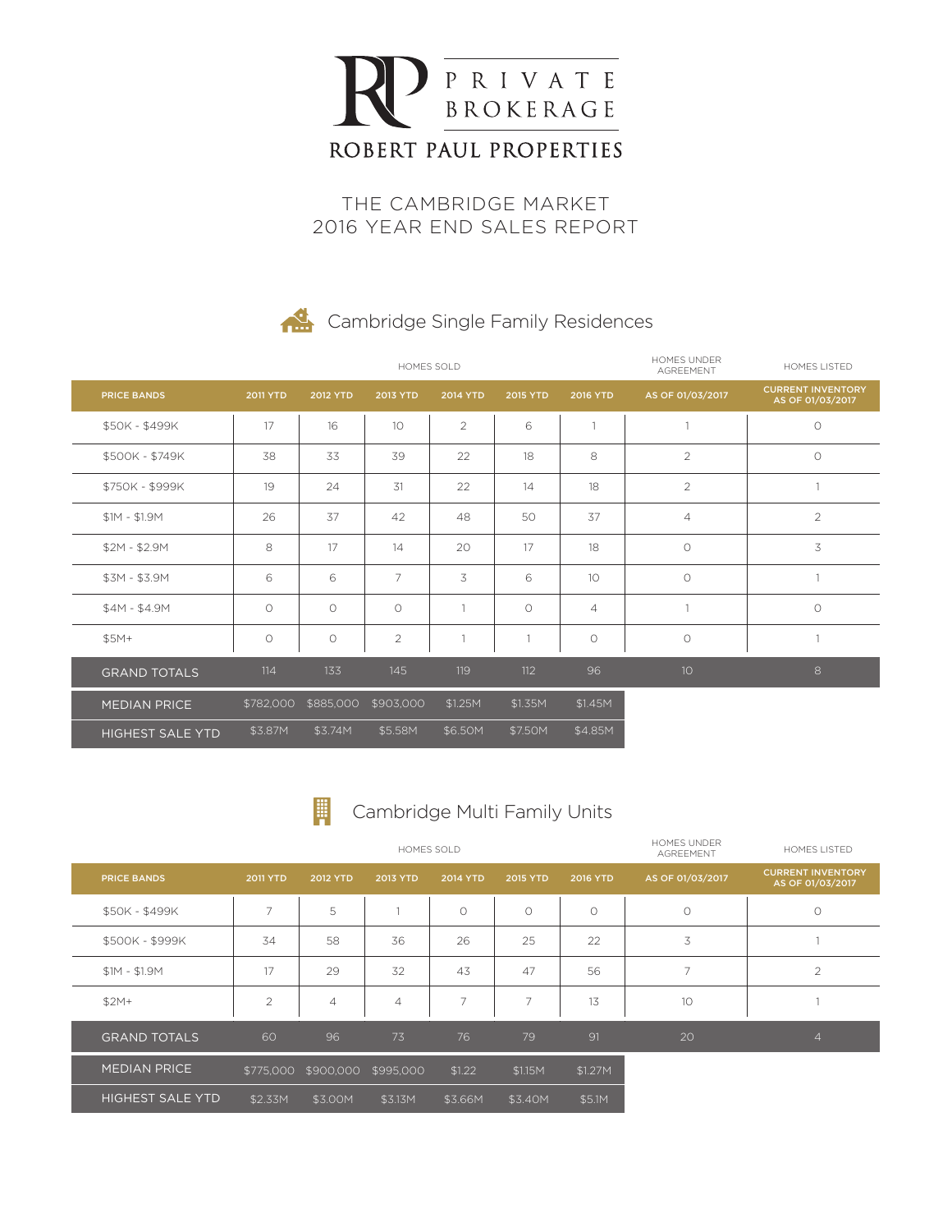

THE CAMBRIDGE MARKET 2016 YEAR END SALES REPORT

#### **Cambridge Single Family Residences**

|                         |                 |                     | HOMES SOLD      | <b>HOMES UNDER</b><br>AGREEMENT | <b>HOMES LISTED</b> |                     |                     |                                              |
|-------------------------|-----------------|---------------------|-----------------|---------------------------------|---------------------|---------------------|---------------------|----------------------------------------------|
| <b>PRICE BANDS</b>      | <b>2011 YTD</b> | <b>2012 YTD</b>     | <b>2013 YTD</b> | <b>2014 YTD</b>                 | <b>2015 YTD</b>     | <b>2016 YTD</b>     | AS OF 01/03/2017    | <b>CURRENT INVENTORY</b><br>AS OF 01/03/2017 |
| \$50K - \$499K          | 17              | 16                  | 10              | $\overline{2}$                  | 6                   | $\mathbf{1}$        |                     | $\circlearrowright$                          |
| \$500K - \$749K         | 38              | 33                  | 39              | 22                              | 18                  | 8                   | 2                   | $\circ$                                      |
| \$750K - \$999K         | 19              | 24                  | 31              | 22                              | 14                  | 18                  | 2                   | $\mathbf{1}$                                 |
| $$1M - $1.9M$           | 26              | 37                  | 42              | 48                              | 50                  | 37                  | $\overline{4}$      | $\overline{2}$                               |
| $$2M - $2.9M$           | 8               | 17                  | 14              | 20                              | 17                  | 18                  | $\circ$             | 3                                            |
| $$3M - $3.9M$           | 6               | 6                   | $\overline{7}$  | 3                               | 6                   | 10                  | $\circ$             | $\overline{1}$                               |
| $$4M - $4.9M$           | $\circ$         | $\circ$             | $\circ$         | $\mathbf{1}$                    | $\circ$             | $\overline{4}$      |                     | $\circ$                                      |
| $$5M+$                  | O               | $\circlearrowright$ | $\overline{2}$  | 1                               | 1                   | $\circlearrowright$ | $\circlearrowright$ |                                              |
| <b>GRAND TOTALS</b>     | 114             | 133                 | 145             | 119                             | 112                 | 96                  | 10                  | 8                                            |
| <b>MEDIAN PRICE</b>     | \$782,000       | \$885,000           | \$903,000       | \$1.25M                         | \$1.35M             | \$1.45M             |                     |                                              |
| <b>HIGHEST SALE YTD</b> | \$3.87M         | \$3.74M             | \$5.58M         | \$6.50M                         | \$7.50M             | \$4.85M             |                     |                                              |



#### Cambridge Multi Family Units

|                         |                 |                | HOMES SOLD     | <b>HOMES UNDER</b><br><b>AGREEMENT</b> | HOMES LISTED    |                 |                  |                                              |
|-------------------------|-----------------|----------------|----------------|----------------------------------------|-----------------|-----------------|------------------|----------------------------------------------|
| <b>PRICE BANDS</b>      | <b>2011 YTD</b> | 2012 YTD       | 2013 YTD       | <b>2014 YTD</b>                        | <b>2015 YTD</b> | <b>2016 YTD</b> | AS OF 01/03/2017 | <b>CURRENT INVENTORY</b><br>AS OF 01/03/2017 |
| \$50K - \$499K          | 7               | 5              |                | $\circ$                                | $\bigcirc$      | $\circ$         | $\circ$          | $\circ$                                      |
| \$500K - \$999K         | 34              | 58             | 36             | 26                                     | 25              | 22              | 3                |                                              |
| $$1M - $1.9M$           | 17              | 29             | 32             | 43                                     | 47              | 56              | 7                | $\overline{2}$                               |
| $$2M+$                  | $\overline{c}$  | $\overline{4}$ | $\overline{4}$ | 7                                      | 7               | 13              | 10               |                                              |
| <b>GRAND TOTALS</b>     | 60              | 96             | 73             | 76                                     | 79              | 91              | 20               | $\overline{4}$                               |
| <b>MEDIAN PRICE</b>     | \$775,000       | \$900,000      | \$995,000      | \$1.22                                 | \$1.15M         | \$1.27M         |                  |                                              |
| <b>HIGHEST SALE YTD</b> | \$2.33M         | \$3.00M        | \$3.13M        | \$3.66M                                | \$3.40M         | \$5.1M          |                  |                                              |